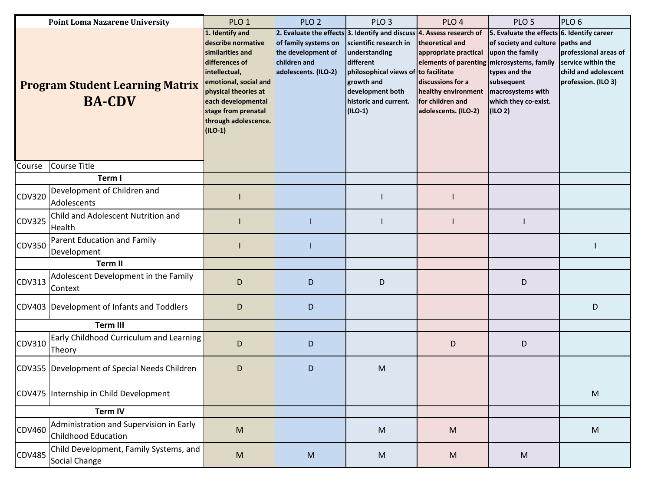| <b>Point Loma Nazarene University</b>                   |                                                                | PLO <sub>1</sub>                                                                                                                                                                                                                    | PLO <sub>2</sub>                                                                   | PLO <sub>3</sub>                                                                                                                                                                                                                                    | PLO <sub>4</sub>                                                                                                                                                               | PLO <sub>5</sub>                                                                                                                                                               | PLO <sub>6</sub>                                                                                        |
|---------------------------------------------------------|----------------------------------------------------------------|-------------------------------------------------------------------------------------------------------------------------------------------------------------------------------------------------------------------------------------|------------------------------------------------------------------------------------|-----------------------------------------------------------------------------------------------------------------------------------------------------------------------------------------------------------------------------------------------------|--------------------------------------------------------------------------------------------------------------------------------------------------------------------------------|--------------------------------------------------------------------------------------------------------------------------------------------------------------------------------|---------------------------------------------------------------------------------------------------------|
| <b>Program Student Learning Matrix</b><br><b>BA-CDV</b> |                                                                | 1. Identify and<br>describe normative<br>similarities and<br>differences of<br>intellectual,<br>emotional, social and<br>physical theories at<br>each developmental<br>stage from prenatal<br>through adolescence.<br>$($ ILO-1 $)$ | of family systems on<br>the development of<br>children and<br>adolescents. (ILO-2) | 2. Evaluate the effects 3. Identify and discuss $4.$ Assess research of<br>scientific research in<br>understanding<br>different<br>philosophical views of to facilitate<br>growth and<br>development both<br>historic and current.<br>$($ ILO-1 $)$ | theoretical and<br>appropriate practical<br>elements of parenting microsystems, family<br>discussions for a<br>healthy environment<br>for children and<br>adolescents. (ILO-2) | 5. Evaluate the effects 6. Identify career<br>of society and culture<br>upon the family<br>types and the<br>subsequent<br>macrosystems with<br>which they co-exist.<br>(1LO 2) | paths and<br>professional areas of<br>service within the<br>child and adolescent<br>profession. (ILO 3) |
| Course Title<br>Course                                  |                                                                |                                                                                                                                                                                                                                     |                                                                                    |                                                                                                                                                                                                                                                     |                                                                                                                                                                                |                                                                                                                                                                                |                                                                                                         |
| <b>CDV320</b>                                           | Term I<br>Development of Children and<br>Adolescents           |                                                                                                                                                                                                                                     |                                                                                    |                                                                                                                                                                                                                                                     |                                                                                                                                                                                |                                                                                                                                                                                |                                                                                                         |
| <b>CDV325</b>                                           | Child and Adolescent Nutrition and<br>Health                   |                                                                                                                                                                                                                                     |                                                                                    |                                                                                                                                                                                                                                                     |                                                                                                                                                                                |                                                                                                                                                                                |                                                                                                         |
| <b>CDV350</b>                                           | <b>Parent Education and Family</b><br>Development              |                                                                                                                                                                                                                                     |                                                                                    |                                                                                                                                                                                                                                                     |                                                                                                                                                                                |                                                                                                                                                                                |                                                                                                         |
| <b>Term II</b>                                          |                                                                |                                                                                                                                                                                                                                     |                                                                                    |                                                                                                                                                                                                                                                     |                                                                                                                                                                                |                                                                                                                                                                                |                                                                                                         |
| CDV313                                                  | Adolescent Development in the Family<br>Context                | D                                                                                                                                                                                                                                   | D                                                                                  | D                                                                                                                                                                                                                                                   |                                                                                                                                                                                | D                                                                                                                                                                              |                                                                                                         |
|                                                         | CDV403 Development of Infants and Toddlers                     | D                                                                                                                                                                                                                                   | D                                                                                  |                                                                                                                                                                                                                                                     |                                                                                                                                                                                |                                                                                                                                                                                | D                                                                                                       |
| <b>Term III</b>                                         |                                                                |                                                                                                                                                                                                                                     |                                                                                    |                                                                                                                                                                                                                                                     |                                                                                                                                                                                |                                                                                                                                                                                |                                                                                                         |
| CDV310                                                  | Early Childhood Curriculum and Learning<br>Theory              | D                                                                                                                                                                                                                                   | D                                                                                  |                                                                                                                                                                                                                                                     | D                                                                                                                                                                              | D                                                                                                                                                                              |                                                                                                         |
|                                                         | CDV355   Development of Special Needs Children                 | D                                                                                                                                                                                                                                   | D                                                                                  | M                                                                                                                                                                                                                                                   |                                                                                                                                                                                |                                                                                                                                                                                |                                                                                                         |
|                                                         | CDV475 Internship in Child Development                         |                                                                                                                                                                                                                                     |                                                                                    |                                                                                                                                                                                                                                                     |                                                                                                                                                                                |                                                                                                                                                                                | ${\sf M}$                                                                                               |
| <b>Term IV</b>                                          |                                                                |                                                                                                                                                                                                                                     |                                                                                    |                                                                                                                                                                                                                                                     |                                                                                                                                                                                |                                                                                                                                                                                |                                                                                                         |
| CDV460                                                  | Administration and Supervision in Early<br>Childhood Education | $\mathsf{M}% _{H}=\mathsf{M}_{H}$                                                                                                                                                                                                   |                                                                                    | M                                                                                                                                                                                                                                                   | M                                                                                                                                                                              |                                                                                                                                                                                | ${\sf M}$                                                                                               |
| <b>CDV485</b>                                           | Child Development, Family Systems, and<br>Social Change        | $\mathsf{M}% _{T}=\mathsf{M}_{T}\!\left( a,b\right) ,\ \mathsf{M}_{T}=\mathsf{M}_{T}\!\left( a,b\right) ,$                                                                                                                          | M                                                                                  | ${\sf M}$                                                                                                                                                                                                                                           | M                                                                                                                                                                              | ${\sf M}$                                                                                                                                                                      |                                                                                                         |